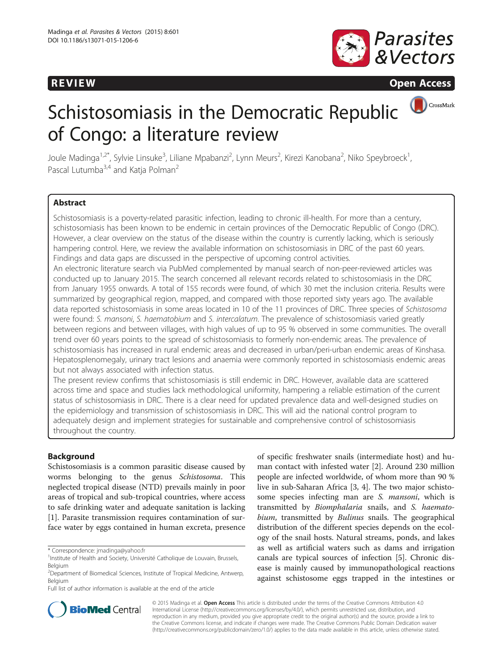# **REVIEW REVIEW CONSTRUCTER ACCESS**



CrossMark

# Schistosomiasis in the Democratic Republic of Congo: a literature review

Joule Madinga<sup>1,2\*</sup>, Sylvie Linsuke<sup>3</sup>, Liliane Mpabanzi<sup>2</sup>, Lynn Meurs<sup>2</sup>, Kirezi Kanobana<sup>2</sup>, Niko Speybroeck<sup>1</sup> , Pascal Lutumba<sup>3,4</sup> and Katja Polman<sup>2</sup>

# **Abstract**

Schistosomiasis is a poverty-related parasitic infection, leading to chronic ill-health. For more than a century, schistosomiasis has been known to be endemic in certain provinces of the Democratic Republic of Congo (DRC). However, a clear overview on the status of the disease within the country is currently lacking, which is seriously hampering control. Here, we review the available information on schistosomiasis in DRC of the past 60 years. Findings and data gaps are discussed in the perspective of upcoming control activities.

An electronic literature search via PubMed complemented by manual search of non-peer-reviewed articles was conducted up to January 2015. The search concerned all relevant records related to schistosomiasis in the DRC from January 1955 onwards. A total of 155 records were found, of which 30 met the inclusion criteria. Results were summarized by geographical region, mapped, and compared with those reported sixty years ago. The available data reported schistosomiasis in some areas located in 10 of the 11 provinces of DRC. Three species of Schistosoma were found: S. mansoni, S. haematobium and S. intercalatum. The prevalence of schistosomiasis varied greatly between regions and between villages, with high values of up to 95 % observed in some communities. The overall trend over 60 years points to the spread of schistosomiasis to formerly non-endemic areas. The prevalence of schistosomiasis has increased in rural endemic areas and decreased in urban/peri-urban endemic areas of Kinshasa. Hepatosplenomegaly, urinary tract lesions and anaemia were commonly reported in schistosomiasis endemic areas but not always associated with infection status.

The present review confirms that schistosomiasis is still endemic in DRC. However, available data are scattered across time and space and studies lack methodological uniformity, hampering a reliable estimation of the current status of schistosomiasis in DRC. There is a clear need for updated prevalence data and well-designed studies on the epidemiology and transmission of schistosomiasis in DRC. This will aid the national control program to adequately design and implement strategies for sustainable and comprehensive control of schistosomiasis throughout the country.

# Background

Schistosomiasis is a common parasitic disease caused by worms belonging to the genus Schistosoma. This neglected tropical disease (NTD) prevails mainly in poor areas of tropical and sub-tropical countries, where access to safe drinking water and adequate sanitation is lacking [[1\]](#page-8-0). Parasite transmission requires contamination of surface water by eggs contained in human excreta, presence

Full list of author information is available at the end of the article

of specific freshwater snails (intermediate host) and human contact with infested water [[2\]](#page-8-0). Around 230 million people are infected worldwide, of whom more than 90 % live in sub-Saharan Africa [[3, 4](#page-8-0)]. The two major schistosome species infecting man are S. mansoni, which is transmitted by Biomphalaria snails, and S. haematobium, transmitted by Bulinus snails. The geographical distribution of the different species depends on the ecology of the snail hosts. Natural streams, ponds, and lakes as well as artificial waters such as dams and irrigation canals are typical sources of infection [[5\]](#page-8-0). Chronic disease is mainly caused by immunopathological reactions against schistosome eggs trapped in the intestines or



© 2015 Madinga et al. Open Access This article is distributed under the terms of the Creative Commons Attribution 4.0 International License [\(http://creativecommons.org/licenses/by/4.0/](http://creativecommons.org/licenses/by/4.0/)), which permits unrestricted use, distribution, and reproduction in any medium, provided you give appropriate credit to the original author(s) and the source, provide a link to the Creative Commons license, and indicate if changes were made. The Creative Commons Public Domain Dedication waiver [\(http://creativecommons.org/publicdomain/zero/1.0/](http://creativecommons.org/publicdomain/zero/1.0/)) applies to the data made available in this article, unless otherwise stated.

<sup>\*</sup> Correspondence: [jmadinga@yahoo.fr](mailto:jmadinga@yahoo.fr) <sup>1</sup>

<sup>&</sup>lt;sup>1</sup>Institute of Health and Society, Université Catholique de Louvain, Brussels, Belgium

<sup>2</sup> Department of Biomedical Sciences, Institute of Tropical Medicine, Antwerp, Belgium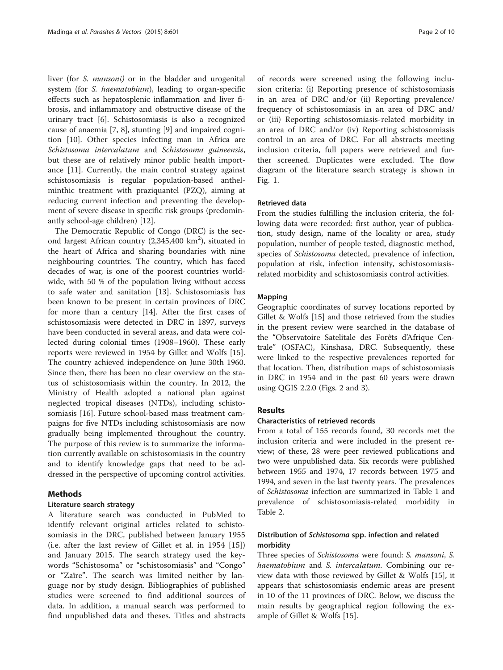liver (for *S. mansoni*) or in the bladder and urogenital system (for S. haematobium), leading to organ-specific effects such as hepatosplenic inflammation and liver fibrosis, and inflammatory and obstructive disease of the urinary tract [[6\]](#page-8-0). Schistosomiasis is also a recognized cause of anaemia [\[7, 8](#page-8-0)], stunting [\[9](#page-8-0)] and impaired cognition [\[10\]](#page-8-0). Other species infecting man in Africa are Schistosoma intercalatum and Schistosoma guineensis, but these are of relatively minor public health importance [\[11\]](#page-8-0). Currently, the main control strategy against schistosomiasis is regular population-based anthelminthic treatment with praziquantel (PZQ), aiming at reducing current infection and preventing the development of severe disease in specific risk groups (predominantly school-age children) [[12\]](#page-8-0).

The Democratic Republic of Congo (DRC) is the second largest African country  $(2,345,400 \text{ km}^2)$ , situated in the heart of Africa and sharing boundaries with nine neighbouring countries. The country, which has faced decades of war, is one of the poorest countries worldwide, with 50 % of the population living without access to safe water and sanitation [[13](#page-8-0)]. Schistosomiasis has been known to be present in certain provinces of DRC for more than a century [\[14](#page-8-0)]. After the first cases of schistosomiasis were detected in DRC in 1897, surveys have been conducted in several areas, and data were collected during colonial times (1908–1960). These early reports were reviewed in 1954 by Gillet and Wolfs [\[15](#page-8-0)]. The country achieved independence on June 30th 1960. Since then, there has been no clear overview on the status of schistosomiasis within the country. In 2012, the Ministry of Health adopted a national plan against neglected tropical diseases (NTDs), including schistosomiasis [[16](#page-8-0)]. Future school-based mass treatment campaigns for five NTDs including schistosomiasis are now gradually being implemented throughout the country. The purpose of this review is to summarize the information currently available on schistosomiasis in the country and to identify knowledge gaps that need to be addressed in the perspective of upcoming control activities.

# Methods

### Literature search strategy

A literature search was conducted in PubMed to identify relevant original articles related to schistosomiasis in the DRC, published between January 1955 (i.e. after the last review of Gillet et al. in 1954 [\[15](#page-8-0)]) and January 2015. The search strategy used the keywords "Schistosoma" or "schistosomiasis" and "Congo" or "Zaïre". The search was limited neither by language nor by study design. Bibliographies of published studies were screened to find additional sources of data. In addition, a manual search was performed to find unpublished data and theses. Titles and abstracts

of records were screened using the following inclusion criteria: (i) Reporting presence of schistosomiasis in an area of DRC and/or (ii) Reporting prevalence/ frequency of schistosomiasis in an area of DRC and/ or (iii) Reporting schistosomiasis-related morbidity in an area of DRC and/or (iv) Reporting schistosomiasis control in an area of DRC. For all abstracts meeting inclusion criteria, full papers were retrieved and further screened. Duplicates were excluded. The flow diagram of the literature search strategy is shown in Fig. [1.](#page-2-0)

# Retrieved data

From the studies fulfilling the inclusion criteria, the following data were recorded: first author, year of publication, study design, name of the locality or area, study population, number of people tested, diagnostic method, species of Schistosoma detected, prevalence of infection, population at risk, infection intensity, schistosomiasisrelated morbidity and schistosomiasis control activities.

### Mapping

Geographic coordinates of survey locations reported by Gillet & Wolfs [[15\]](#page-8-0) and those retrieved from the studies in the present review were searched in the database of the "Observatoire Satelitale des Forêts d'Afrique Centrale" (OSFAC), Kinshasa, DRC. Subsequently, these were linked to the respective prevalences reported for that location. Then, distribution maps of schistosomiasis in DRC in 1954 and in the past 60 years were drawn using QGIS 2.2.0 (Figs. [2](#page-3-0) and [3\)](#page-4-0).

### Results

### Characteristics of retrieved records

From a total of 155 records found, 30 records met the inclusion criteria and were included in the present review; of these, 28 were peer reviewed publications and two were unpublished data. Six records were published between 1955 and 1974, 17 records between 1975 and 1994, and seven in the last twenty years. The prevalences of Schistosoma infection are summarized in Table [1](#page-5-0) and prevalence of schistosomiasis-related morbidity in Table [2.](#page-6-0)

# Distribution of Schistosoma spp. infection and related morbidity

Three species of Schistosoma were found: S. mansoni, S. haematobium and S. intercalatum. Combining our review data with those reviewed by Gillet & Wolfs [\[15](#page-8-0)], it appears that schistosomiasis endemic areas are present in 10 of the 11 provinces of DRC. Below, we discuss the main results by geographical region following the example of Gillet & Wolfs [\[15](#page-8-0)].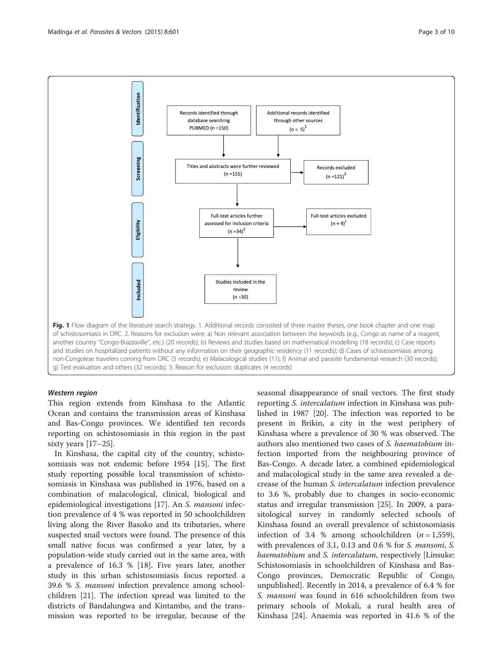<span id="page-2-0"></span>

This region extends from Kinshasa to the Atlantic Ocean and contains the transmission areas of Kinshasa and Bas-Congo provinces. We identified ten records reporting on schistosomiasis in this region in the past sixty years [\[17](#page-8-0)–[25\]](#page-9-0).

In Kinshasa, the capital city of the country, schistosomiasis was not endemic before 1954 [\[15\]](#page-8-0). The first study reporting possible local transmission of schistosomiasis in Kinshasa was published in 1976, based on a combination of malacological, clinical, biological and epidemiological investigations [[17](#page-8-0)]. An S. mansoni infection prevalence of 4 % was reported in 50 schoolchildren living along the River Basoko and its tributaries, where suspected snail vectors were found. The presence of this small native focus was confirmed a year later, by a population-wide study carried out in the same area, with a prevalence of 16.3 % [[18\]](#page-8-0). Five years later, another study in this urban schistosomiasis focus reported a 39.6 % S. mansoni infection prevalence among schoolchildren [\[21\]](#page-9-0). The infection spread was limited to the districts of Bandalungwa and Kintambo, and the transmission was reported to be irregular, because of the seasonal disappearance of snail vectors. The first study reporting S. intercalatum infection in Kinshasa was published in 1987 [\[20\]](#page-9-0). The infection was reported to be present in Brikin, a city in the west periphery of Kinshasa where a prevalence of 30 % was observed. The authors also mentioned two cases of S. haematobium infection imported from the neighbouring province of Bas-Congo. A decade later, a combined epidemiological and malacological study in the same area revealed a decrease of the human S. intercalatum infection prevalence to 3.6 %, probably due to changes in socio-economic status and irregular transmission [\[25](#page-9-0)]. In 2009, a parasitological survey in randomly selected schools of Kinshasa found an overall prevalence of schistosomiasis infection of 3.4 % among schoolchildren  $(n = 1,559)$ , with prevalences of 3.1, 0.13 and 0.6 % for S. mansoni, S. haematobium and S. intercalatum, respectively [Linsuke: Schistosomiasis in schoolchildren of Kinshasa and Bas-Congo provinces, Democratic Republic of Congo, unpublished]. Recently in 2014, a prevalence of 6.4 % for S. mansoni was found in 616 schoolchildren from two primary schools of Mokali, a rural health area of Kinshasa [[24\]](#page-9-0). Anaemia was reported in 41.6 % of the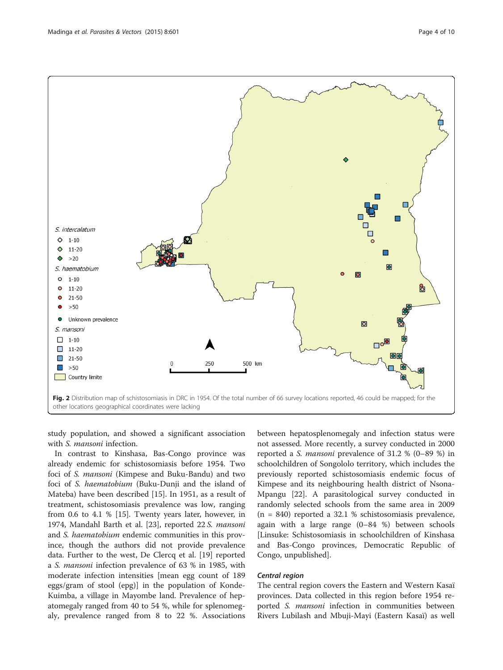<span id="page-3-0"></span>

study population, and showed a significant association with S. *mansoni* infection.

In contrast to Kinshasa, Bas-Congo province was already endemic for schistosomiasis before 1954. Two foci of S. mansoni (Kimpese and Buku-Bandu) and two foci of S. haematobium (Buku-Dunji and the island of Mateba) have been described [[15](#page-8-0)]. In 1951, as a result of treatment, schistosomiasis prevalence was low, ranging from 0.6 to 4.1 % [[15](#page-8-0)]. Twenty years later, however, in 1974, Mandahl Barth et al. [[23\]](#page-9-0), reported 22 S. mansoni and S. haematobium endemic communities in this province, though the authors did not provide prevalence data. Further to the west, De Clercq et al. [\[19\]](#page-8-0) reported <sup>a</sup> S. mansoni infection prevalence of 63 % in 1985, with moderate infection intensities [mean egg count of 189 eggs/gram of stool (epg)] in the population of Konde-Kuimba, a village in Mayombe land. Prevalence of hepatomegaly ranged from 40 to 54 %, while for splenomegaly, prevalence ranged from 8 to 22 %. Associations

between hepatosplenomegaly and infection status were not assessed. More recently, a survey conducted in 2000 reported a S. mansoni prevalence of 31.2 % (0–89 %) in schoolchildren of Songololo territory, which includes the previously reported schistosomiasis endemic focus of Kimpese and its neighbouring health district of Nsona-Mpangu [\[22](#page-9-0)]. A parasitological survey conducted in randomly selected schools from the same area in 2009 (n = 840) reported a 32.1 % schistosomiasis prevalence, again with a large range (0–84 %) between schools [Linsuke: Schistosomiasis in schoolchildren of Kinshasa and Bas-Congo provinces, Democratic Republic of Congo, unpublished].

The central region covers the Eastern and Western Kasaï provinces. Data collected in this region before 1954 reported S. mansoni infection in communities between Rivers Lubilash and Mbuji-Mayi (Eastern Kasaï) as well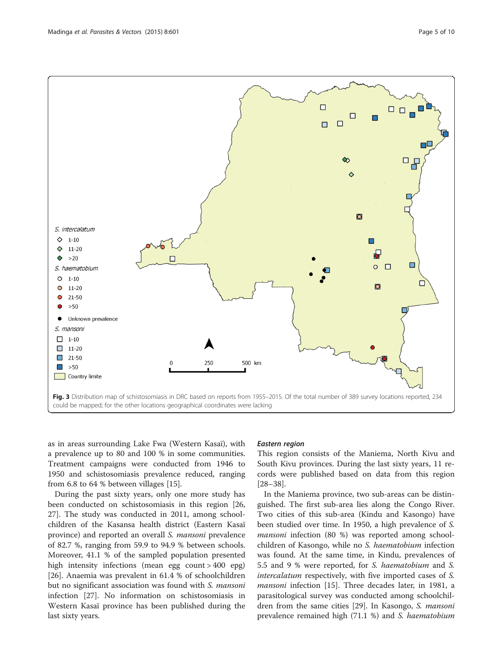<span id="page-4-0"></span>

as in areas surrounding Lake Fwa (Western Kasaï), with a prevalence up to 80 and 100 % in some communities. Treatment campaigns were conducted from 1946 to 1950 and schistosomiasis prevalence reduced, ranging from 6.8 to 64 % between villages [\[15](#page-8-0)].

During the past sixty years, only one more study has been conducted on schistosomiasis in this region [[26](#page-9-0), [27\]](#page-9-0). The study was conducted in 2011, among schoolchildren of the Kasansa health district (Eastern Kasaï province) and reported an overall S. mansoni prevalence of 82.7 %, ranging from 59.9 to 94.9 % between schools. Moreover, 41.1 % of the sampled population presented high intensity infections (mean egg count > 400 epg) [[26\]](#page-9-0). Anaemia was prevalent in 61.4 % of schoolchildren but no significant association was found with S. mansoni infection [\[27\]](#page-9-0). No information on schistosomiasis in Western Kasaï province has been published during the last sixty years.

This region consists of the Maniema, North Kivu and South Kivu provinces. During the last sixty years, 11 records were published based on data from this region [[28](#page-9-0)–[38](#page-9-0)].

In the Maniema province, two sub-areas can be distinguished. The first sub-area lies along the Congo River. Two cities of this sub-area (Kindu and Kasongo) have been studied over time. In 1950, a high prevalence of S. mansoni infection (80 %) was reported among schoolchildren of Kasongo, while no S. haematobium infection was found. At the same time, in Kindu, prevalences of 5.5 and 9 % were reported, for S. haematobium and S. intercalatum respectively, with five imported cases of S. mansoni infection [\[15](#page-8-0)]. Three decades later, in 1981, a parasitological survey was conducted among schoolchil-dren from the same cities [\[29](#page-9-0)]. In Kasongo, S. *mansoni* prevalence remained high (71.1 %) and S. haematobium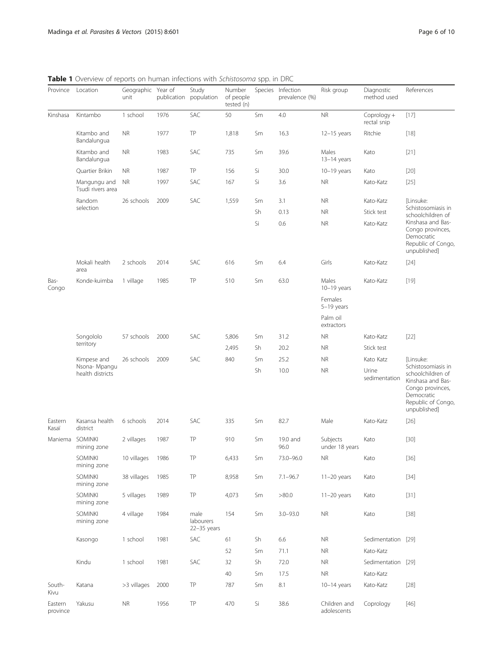Province Location Geographic unit Year of publication **Study** population Number of people tested (n) Species Infection prevalence (%) Risk group Diagnostic method used References Kinshasa Kintambo 1 school 1976 SAC 50 Sm 4.0 NR Coprology + rectal snip [[17\]](#page-8-0) Kitambo and Bandalungua NR 1977 TP 1,818 Sm 16.3 12–15 years Ritchie [[18\]](#page-8-0) Kitambo and Bandalungua NR 1983 SAC 735 Sm 39.6 Males 13–14 years Kato [[21\]](#page-9-0) Quartier Brikin NR 1987 TP 156 Si 30.0 10–19 years Kato [[20\]](#page-9-0) Mangungu and Tsudi rivers area NR 1997 SAC 167 Si 3.6 NR Kato-Katz [[25\]](#page-9-0) Random selection 26 schools 2009 SAC 1,559 Sm 3.1 NR Kato-Katz [Linsuke: Schistosomiasis in schoolchildren of Kinshasa and Bas-Congo provinces, Democratic Republic of Congo, unpublished] Sh 0.13 NR Stick test Si 0.6 NR Kato-Katz Mokali health area 2 schools 2014 SAC 616 Sm 6.4 Girls Kato-Katz [[24\]](#page-9-0) Bas-Congo Konde-kuimba 1 village 1985 TP 510 Sm 63.0 Males 10–19 years Kato-Katz [[19\]](#page-8-0) Females 5–19 years Palm oil extractors Songololo territory 57 schools 2000 SAC 5,806 Sm 31.2 NR Kato-Katz [[22\]](#page-9-0) 2,495 Sh 20.2 NR Stick test Kimpese and Nsona- Mpangu health districts 26 schools 2009 SAC 840 Sm 25.2 NR Kato Katz [Linsuke: Schistosomiasis in schoolchildren of Kinshasa and Bas-Congo provinces, Democratic Republic of Congo, unpublished] Sh 10.0 NR Urine sedimentation Eastern Kasaï Kasansa health district 6 schools 2014 SAC 335 Sm 82.7 Male Kato-Katz [[26\]](#page-9-0) Maniema SOMINKI mining zone 2 villages 1987 TP 910 Sm 19.0 and 96.0 Subjects under 18 years Kato [[30\]](#page-9-0) SOMINKI mining zone 10 villages 1986 TP 6,433 Sm 73.0–96.0 NR Kato [[36\]](#page-9-0) SOMINKI mining zone 38 villages 1985 TP 8,958 Sm 7.1–96.7 11–20 years Kato [[34\]](#page-9-0) SOMINKI mining zone 5 villages 1989 TP 4,073 Sm >80.0 11–20 years Kato [[31\]](#page-9-0) SOMINKI mining zone 4 village 1984 male labourers 22–35 years 154 Sm 3.0–93.0 NR Kato [[38\]](#page-9-0) Kasongo 1 school 1981 SAC 61 Sh 6.6 NR Sedimentation [[29\]](#page-9-0) 52 Sm 71.1 NR Kato-Katz Kindu 1 school 1981 SAC 32 Sh 72.0 NR Sedimentation [[29\]](#page-9-0) 40 Sm 17.5 NR Kato-Katz South-Kivu Katana >3 villages 2000 TP 787 Sm 8.1 10–14 years Kato-Katz [[28\]](#page-9-0) Eastern province Yakusu NR 1956 TP 470 Si 38.6 Children and adolescents Coprology [[46\]](#page-9-0)

<span id="page-5-0"></span>Table 1 Overview of reports on human infections with Schistosoma spp. in DRC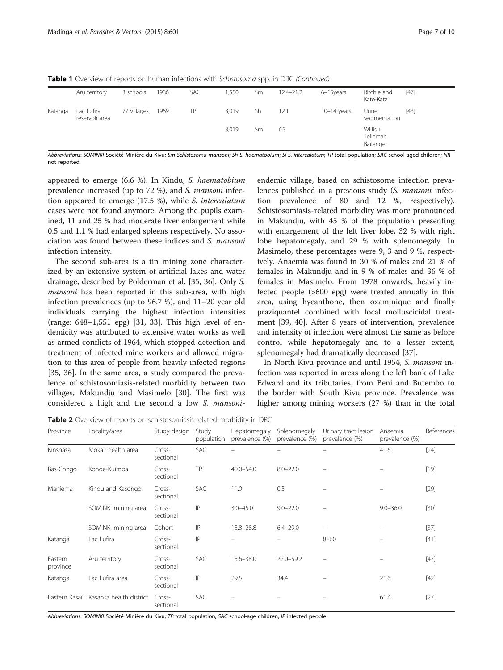|         | Aru territory                | 3 schools   | 1986 | SAC | 1,550 | Sm | $12.4 - 21.2$ | 6-15years     | Ritchie and<br>Kato-Katz            | $[47]$ |
|---------|------------------------------|-------------|------|-----|-------|----|---------------|---------------|-------------------------------------|--------|
| Katanga | Lac Lufira<br>reservoir area | 77 villages | 1969 | TP  | 3,019 | Sh | 12.1          | $10-14$ years | Urine<br>sedimentation              | $[43]$ |
|         |                              |             |      |     | 3,019 | Sm | 6.3           |               | Willis $+$<br>Telleman<br>Bailenger |        |

<span id="page-6-0"></span>**Table 1** Overview of reports on human infections with Schistosoma spp. in DRC (Continued)

Abbreviations: SOMINKI Société Minière du Kivu; Sm Schistosoma mansoni; Sh S. haematobium; Si S. intercalatum; TP total population; SAC school-aged children; NR not reported

appeared to emerge (6.6 %). In Kindu, S. haematobium prevalence increased (up to 72 %), and S. mansoni infection appeared to emerge (17.5 %), while S. intercalatum cases were not found anymore. Among the pupils examined, 11 and 25 % had moderate liver enlargement while 0.5 and 1.1 % had enlarged spleens respectively. No association was found between these indices and S. mansoni infection intensity.

The second sub-area is a tin mining zone characterized by an extensive system of artificial lakes and water drainage, described by Polderman et al. [\[35](#page-9-0), [36](#page-9-0)]. Only S. mansoni has been reported in this sub-area, with high infection prevalences (up to 96.7 %), and 11–20 year old individuals carrying the highest infection intensities (range: 648–1,551 epg) [[31, 33](#page-9-0)]. This high level of endemicity was attributed to extensive water works as well as armed conflicts of 1964, which stopped detection and treatment of infected mine workers and allowed migration to this area of people from heavily infected regions [[35, 36](#page-9-0)]. In the same area, a study compared the prevalence of schistosomiasis-related morbidity between two villages, Makundju and Masimelo [\[30](#page-9-0)]. The first was considered a high and the second a low S. mansoni-

endemic village, based on schistosome infection prevalences published in a previous study (S. mansoni infection prevalence of 80 and 12 %, respectively). Schistosomiasis-related morbidity was more pronounced in Makundju, with 45 % of the population presenting with enlargement of the left liver lobe, 32 % with right lobe hepatomegaly, and 29 % with splenomegaly. In Masimelo, these percentages were 9, 3 and 9 %, respectively. Anaemia was found in 30 % of males and 21 % of females in Makundju and in 9 % of males and 36 % of females in Masimelo. From 1978 onwards, heavily infected people (>600 epg) were treated annually in this area, using hycanthone, then oxaminique and finally praziquantel combined with focal molluscicidal treatment [\[39, 40\]](#page-9-0). After 8 years of intervention, prevalence and intensity of infection were almost the same as before control while hepatomegaly and to a lesser extent, splenomegaly had dramatically decreased [[37](#page-9-0)].

In North Kivu province and until 1954, S. mansoni infection was reported in areas along the left bank of Lake Edward and its tributaries, from Beni and Butembo to the border with South Kivu province. Prevalence was higher among mining workers (27 %) than in the total

Table 2 Overview of reports on schistosomiasis-related morbidity in DRC

| Province            | Locality/area           | Study design        | Study<br>population | Hepatomegaly<br>prevalence (%) | Splenomegaly<br>prevalence (%) | Urinary tract lesion<br>prevalence (%) | Anaemia<br>prevalence (%) | References |
|---------------------|-------------------------|---------------------|---------------------|--------------------------------|--------------------------------|----------------------------------------|---------------------------|------------|
| Kinshasa            | Mokali health area      | Cross-<br>sectional | <b>SAC</b>          |                                |                                |                                        | 41.6                      | $[24]$     |
| Bas-Congo           | Konde-Kuimba            | Cross-<br>sectional | TP                  | $40.0 - 54.0$                  | $8.0 - 22.0$                   |                                        |                           | $[19]$     |
| Maniema             | Kindu and Kasongo       | Cross-<br>sectional | <b>SAC</b>          | 11.0                           | 0.5                            |                                        |                           | $[29]$     |
|                     | SOMINKI mining area     | Cross-<br>sectional | IP                  | $3.0 - 45.0$                   | $9.0 - 22.0$                   |                                        | $9.0 - 36.0$              | $[30]$     |
|                     | SOMINKI mining area     | Cohort              | IP                  | $15.8 - 28.8$                  | $6.4 - 29.0$                   |                                        |                           | $[37]$     |
| Katanga             | Lac Lufira              | Cross-<br>sectional | IP                  |                                |                                | $8 - 60$                               |                           | $[41]$     |
| Eastern<br>province | Aru territory           | Cross-<br>sectional | <b>SAC</b>          | $15.6 - 38.0$                  | $22.0 - 59.2$                  |                                        |                           | $[47]$     |
| Katanga             | Lac Lufira area         | Cross-<br>sectional | IP                  | 29.5                           | 34.4                           |                                        | 21.6                      | $[42]$     |
| Eastern Kasaï       | Kasansa health district | Cross-<br>sectional | SAC                 |                                |                                |                                        | 61.4                      | $[27]$     |

Abbreviations: SOMINKI Société Minière du Kivu; TP total population; SAC school-age children; IP infected people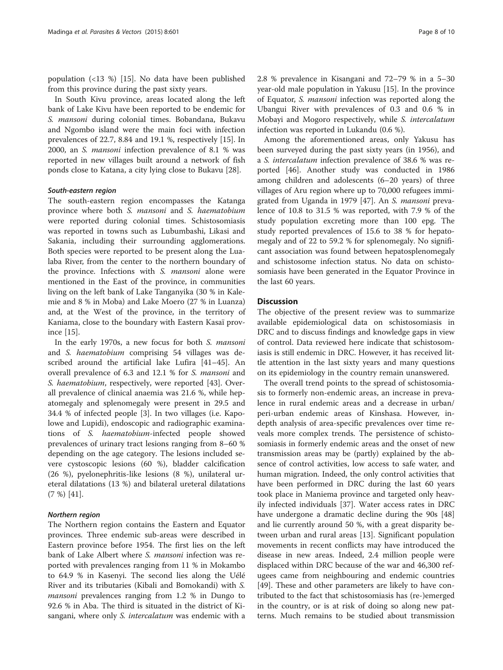population (<13 %) [[15\]](#page-8-0). No data have been published from this province during the past sixty years.

In South Kivu province, areas located along the left bank of Lake Kivu have been reported to be endemic for S. mansoni during colonial times. Bobandana, Bukavu and Ngombo island were the main foci with infection prevalences of 22.7, 8.84 and 19.1 %, respectively [[15](#page-8-0)]. In 2000, an S. mansoni infection prevalence of 8.1 % was reported in new villages built around a network of fish ponds close to Katana, a city lying close to Bukavu [\[28](#page-9-0)].

The south-eastern region encompasses the Katanga province where both S. mansoni and S. haematobium were reported during colonial times. Schistosomiasis was reported in towns such as Lubumbashi, Likasi and Sakania, including their surrounding agglomerations. Both species were reported to be present along the Lualaba River, from the center to the northern boundary of the province. Infections with S. mansoni alone were mentioned in the East of the province, in communities living on the left bank of Lake Tanganyika (30 % in Kalemie and 8 % in Moba) and Lake Moero (27 % in Luanza) and, at the West of the province, in the territory of Kaniama, close to the boundary with Eastern Kasaï province [[15](#page-8-0)].

In the early 1970s, a new focus for both S. mansoni and S. haematobium comprising 54 villages was described around the artificial lake Lufira [\[41](#page-9-0)–[45\]](#page-9-0). An overall prevalence of 6.3 and 12.1 % for S. mansoni and S. haematobium, respectively, were reported [\[43\]](#page-9-0). Overall prevalence of clinical anaemia was 21.6 %, while hepatomegaly and splenomegaly were present in 29.5 and 34.4 % of infected people [\[3](#page-9-0)]. In two villages (i.e. Kapolowe and Lupidi), endoscopic and radiographic examinations of S. haematobium-infected people showed prevalences of urinary tract lesions ranging from 8–60 % depending on the age category. The lesions included severe cystoscopic lesions (60 %), bladder calcification (26 %), pyelonephritis-like lesions (8 %), unilateral ureteral dilatations (13 %) and bilateral ureteral dilatations (7 %) [[41\]](#page-9-0).

The Northern region contains the Eastern and Equator provinces. Three endemic sub-areas were described in Eastern province before 1954. The first lies on the left bank of Lake Albert where *S. mansoni* infection was reported with prevalences ranging from 11 % in Mokambo to 64.9 % in Kasenyi. The second lies along the Uélé River and its tributaries (Kibali and Bomokandi) with S. mansoni prevalences ranging from 1.2 % in Dungo to 92.6 % in Aba. The third is situated in the district of Kisangani, where only S. intercalatum was endemic with a 2.8 % prevalence in Kisangani and 72–79 % in a 5–30 year-old male population in Yakusu [\[15](#page-8-0)]. In the province of Equator, S. mansoni infection was reported along the Ubangui River with prevalences of 0.3 and 0.6 % in Mobayi and Mogoro respectively, while S. intercalatum infection was reported in Lukandu (0.6 %).

Among the aforementioned areas, only Yakusu has been surveyed during the past sixty years (in 1956), and <sup>a</sup> S. intercalatum infection prevalence of 38.6 % was reported [\[46](#page-9-0)]. Another study was conducted in 1986 among children and adolescents (6–20 years) of three villages of Aru region where up to 70,000 refugees immigrated from Uganda in 1979 [[47](#page-9-0)]. An S. mansoni prevalence of 10.8 to 31.5 % was reported, with 7.9 % of the study population excreting more than 100 epg. The study reported prevalences of 15.6 to 38 % for hepatomegaly and of 22 to 59.2 % for splenomegaly. No significant association was found between hepatosplenomegaly and schistosome infection status. No data on schistosomiasis have been generated in the Equator Province in the last 60 years.

### **Discussion**

The objective of the present review was to summarize available epidemiological data on schistosomiasis in DRC and to discuss findings and knowledge gaps in view of control. Data reviewed here indicate that schistosomiasis is still endemic in DRC. However, it has received little attention in the last sixty years and many questions on its epidemiology in the country remain unanswered.

The overall trend points to the spread of schistosomiasis to formerly non-endemic areas, an increase in prevalence in rural endemic areas and a decrease in urban/ peri-urban endemic areas of Kinshasa. However, indepth analysis of area-specific prevalences over time reveals more complex trends. The persistence of schistosomiasis in formerly endemic areas and the onset of new transmission areas may be (partly) explained by the absence of control activities, low access to safe water, and human migration. Indeed, the only control activities that have been performed in DRC during the last 60 years took place in Maniema province and targeted only heavily infected individuals [[37\]](#page-9-0). Water access rates in DRC have undergone a dramatic decline during the 90s [[48](#page-9-0)] and lie currently around 50 %, with a great disparity between urban and rural areas [\[13](#page-8-0)]. Significant population movements in recent conflicts may have introduced the disease in new areas. Indeed, 2.4 million people were displaced within DRC because of the war and 46,300 refugees came from neighbouring and endemic countries [[49\]](#page-9-0). These and other parameters are likely to have contributed to the fact that schistosomiasis has (re-)emerged in the country, or is at risk of doing so along new patterns. Much remains to be studied about transmission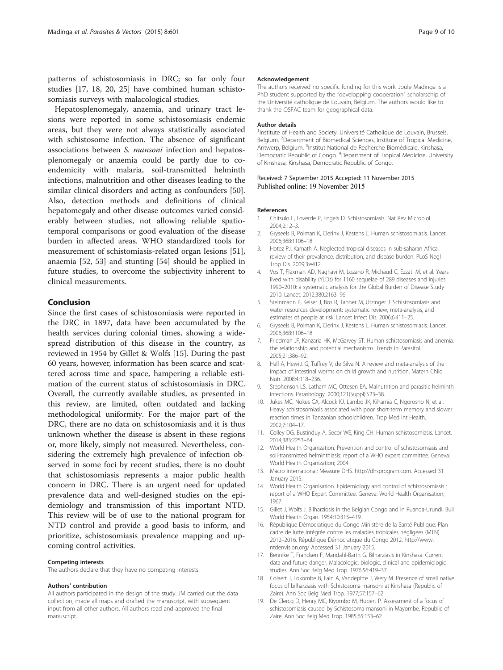<span id="page-8-0"></span>patterns of schistosomiasis in DRC; so far only four studies [17, 18, [20, 25\]](#page-9-0) have combined human schistosomiasis surveys with malacological studies.

Hepatosplenomegaly, anaemia, and urinary tract lesions were reported in some schistosomiasis endemic areas, but they were not always statistically associated with schistosome infection. The absence of significant associations between S. mansoni infection and hepatosplenomegaly or anaemia could be partly due to coendemicity with malaria, soil-transmitted helminth infections, malnutrition and other diseases leading to the similar clinical disorders and acting as confounders [\[50](#page-9-0)]. Also, detection methods and definitions of clinical hepatomegaly and other disease outcomes varied considerably between studies, not allowing reliable spatiotemporal comparisons or good evaluation of the disease burden in affected areas. WHO standardized tools for measurement of schistomiasis-related organ lesions [\[51](#page-9-0)], anaemia [\[52](#page-9-0), [53\]](#page-9-0) and stunting [[54](#page-9-0)] should be applied in future studies, to overcome the subjectivity inherent to clinical measurements.

# Conclusion

Since the first cases of schistosomiasis were reported in the DRC in 1897, data have been accumulated by the health services during colonial times, showing a widespread distribution of this disease in the country, as reviewed in 1954 by Gillet & Wolfs [15]. During the past 60 years, however, information has been scarce and scattered across time and space, hampering a reliable estimation of the current status of schistosomiasis in DRC. Overall, the currently available studies, as presented in this review, are limited, often outdated and lacking methodological uniformity. For the major part of the DRC, there are no data on schistosomiasis and it is thus unknown whether the disease is absent in these regions or, more likely, simply not measured. Nevertheless, considering the extremely high prevalence of infection observed in some foci by recent studies, there is no doubt that schistosomiasis represents a major public health concern in DRC. There is an urgent need for updated prevalence data and well-designed studies on the epidemiology and transmission of this important NTD. This review will be of use to the national program for NTD control and provide a good basis to inform, and prioritize, schistosomiasis prevalence mapping and upcoming control activities.

### Competing interests

The authors declare that they have no competing interests.

### Authors' contribution

All authors participated in the design of the study. JM carried out the data collection, made all maps and drafted the manuscript, with subsequent input from all other authors. All authors read and approved the final manuscript.

### Acknowledgement

The authors received no specific funding for this work. Joule Madinga is a PhD student supported by the "developping cooperation" scholarschip of the Université catholique de Louvain, Belgium. The authors would like to thank the OSFAC team for geographical data.

### Author details

<sup>1</sup>Institute of Health and Society, Université Catholique de Louvain, Brussels, Belgium. <sup>2</sup>Department of Biomedical Sciences, Institute of Tropical Medicine, Antwerp, Belgium. <sup>3</sup>Institut National de Recherche Biomédicale, Kinshasa, Democratic Republic of Congo. <sup>4</sup>Department of Tropical Medicine, University of Kinshasa, Kinshasa, Democratic Republic of Congo.

### Received: 7 September 2015 Accepted: 11 November 2015 Published online: 19 November 2015

### References

- 1. Chitsulo L, Loverde P, Engels D. Schistosomiasis. Nat Rev Microbiol. 2004;2:12–3.
- 2. Gryseels B, Polman K, Clerinx J, Kestens L. Human schistosomiasis. Lancet. 2006;368:1106–18.
- 3. Hotez PJ, Kamath A. Neglected tropical diseases in sub-saharan Africa: review of their prevalence, distribution, and disease burden. PLoS Negl Trop Dis. 2009;3:e412.
- 4. Vos T, Flaxman AD, Naghavi M, Lozano R, Michaud C, Ezzati M, et al. Years lived with disability (YLDs) for 1160 sequelae of 289 diseases and injuries 1990–2010: a systematic analysis for the Global Burden of Disease Study 2010. Lancet. 2012;380:2163–96.
- 5. Steinmann P, Keiser J, Bos R, Tanner M, Utzinger J. Schistosomiasis and water resources development: systematic review, meta-analysis, and estimates of people at risk. Lancet Infect Dis. 2006;6:411–25.
- 6. Gryseels B, Polman K, Clerinx J, Kestens L. Human schistosomiasis. Lancet. 2006;368:1106–18.
- 7. Friedman JF, Kanzaria HK, McGarvey ST. Human schistosomiasis and anemia: the relationship and potential mechanisms. Trends in Parasitol. 2005;21:386–92.
- 8. Hall A, Hewitt G, Tuffrey V, de Silva N. A review and meta-analysis of the impact of intestinal worms on child growth and nutrition. Matern Child Nutr. 2008;4:118–236.
- 9. Stephenson LS, Latham MC, Ottesen EA. Malnutrition and parasitic helminth infections. Parasitology. 2000;121(Suppl):S23–38.
- 10. Jukes MC, Nokes CA, Alcock KJ, Lambo JK, Kihamia C, Ngorosho N, et al. Heavy schistosomiasis associated with poor short-term memory and slower reaction times in Tanzanian schoolchildren. Trop Med Int Health. 2002;7:104–17.
- 11. Colley DG, Bustinduy A, Secor WE, King CH. Human schistosomiasis. Lancet. 2014;383:2253–64.
- 12. World Health Organization. Prevention and control of schistosomiasis and soil-transmitted helminthiasis: report of a WHO expert committee. Geneva: World Health Organization; 2004.
- 13. Macro international: Measure DHS. [http://dhsprogram.com.](http://dhsprogram.com/) Accessed 31 January 2015.
- 14. World Health Organisation. Epidemiology and control of schistosomiasis : report of a WHO Expert Committee. Geneva: World Health Organisation; 1967.
- 15. Gillet J, Wolfs J. Bilharziosis in the Belgian Congo and in Ruanda-Urundi. Bull World Health Organ. 1954;10:315–419.
- 16. République Démocratique du Congo Ministère de la Santé Publique: Plan cadre de lutte intégrée contre les maladies tropicales négligées (MTN) 2012–2016. République Démocratique du Congo 2012. [http://www.](http://www.ntdenvision.org/) [ntdenvision.org/](http://www.ntdenvision.org/) Accessed 31 January 2015.
- 17. Bennike T, Frandsen F, Mandahl-Barth G. Bilharziasis in Kinshasa. Current data and future danger. Malacologic, biologic, clinical and epidemiologic studies. Ann Soc Belg Med Trop. 1976;56:419–37.
- 18. Colaert J, Lokombe B, Fain A, Vandepitte J, Wery M. Presence of small native focus of bilharziasis with Schistosoma mansoni at Kinshasa (Republic of Zaire). Ann Soc Belg Med Trop. 1977;57:157–62.
- 19. De Clercq D, Henry MC, Kiyombo M, Hubert P. Assessment of a focus of schistosomiasis caused by Schistosoma mansoni in Mayombe, Republic of Zaire. Ann Soc Belg Med Trop. 1985;65:153–62.